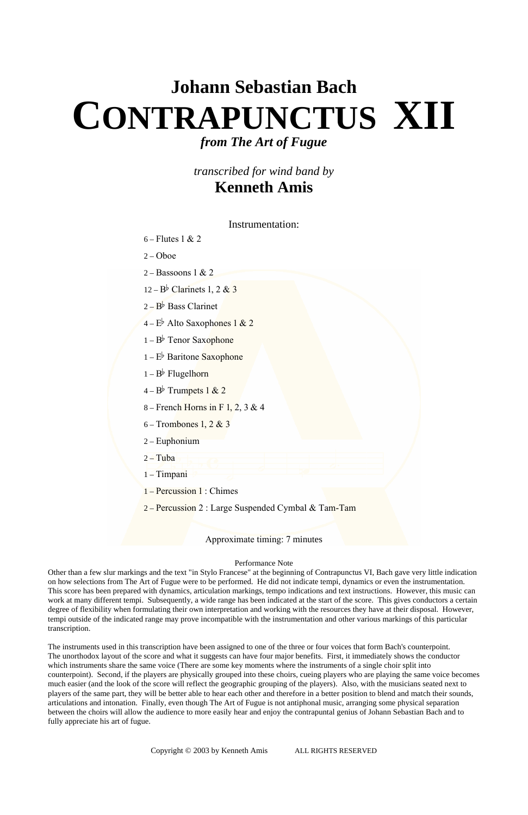## **Johann Sebastian Bach CONTRAPUNCTUS XII** *from The Art of Fugue*

## *transcribed for wind band by*  **Kenneth Amis**

Instrumentation:

- 6 Flutes 1 & 2
- $2 Oboe$
- 2 Bassoons 1 & 2

 $12 - B^{\flat}$  Clarinets 1, 2 & 3

 $2 - B^{\flat}$  Bass Clarinet

 $4-E^{\frac{1}{2}}$  Alto Saxophones 1 & 2

- $1 B^{\flat}$  Tenor Saxophone
- $1 E^{\flat}$  Baritone Saxophone
- $1 B^{\flat}$  Flugelhorn
- $4-B^{\frac{1}{2}}$  Trumpets 1 & 2
- 8 French Horns in F 1, 2, 3 & 4
- 6 Trombones 1, 2 & 3
- 2 Euphonium
- $2 -$ Tuba
- 1 Timpani
- 1 Percussion 1 : Chimes
- 2 Percussion 2 : Large Suspended Cymbal & Tam-Tam

Approximate timing: 7 minutes

## Performance Note

Other than a few slur markings and the text "in Stylo Francese" at the beginning of Contrapunctus VI, Bach gave very little indication on how selections from The Art of Fugue were to be performed. He did not indicate tempi, dynamics or even the instrumentation. This score has been prepared with dynamics, articulation markings, tempo indications and text instructions. However, this music can work at many different tempi. Subsequently, a wide range has been indicated at the start of the score. This gives conductors a certain degree of flexibility when formulating their own interpretation and working with the resources they have at their disposal. However, tempi outside of the indicated range may prove incompatible with the instrumentation and other various markings of this particular transcription.

The instruments used in this transcription have been assigned to one of the three or four voices that form Bach's counterpoint. The unorthodox layout of the score and what it suggests can have four major benefits. First, it immediately shows the conductor which instruments share the same voice (There are some key moments where the instruments of a single choir split into counterpoint). Second, if the players are physically grouped into these choirs, cueing players who are playing the same voice becomes much easier (and the look of the score will reflect the geographic grouping of the players). Also, with the musicians seated next to players of the same part, they will be better able to hear each other and therefore in a better position to blend and match their sounds, articulations and intonation. Finally, even though The Art of Fugue is not antiphonal music, arranging some physical separation between the choirs will allow the audience to more easily hear and enjoy the contrapuntal genius of Johann Sebastian Bach and to fully appreciate his art of fugue.

Copyright © 2003 by Kenneth Amis ALL RIGHTS RESERVED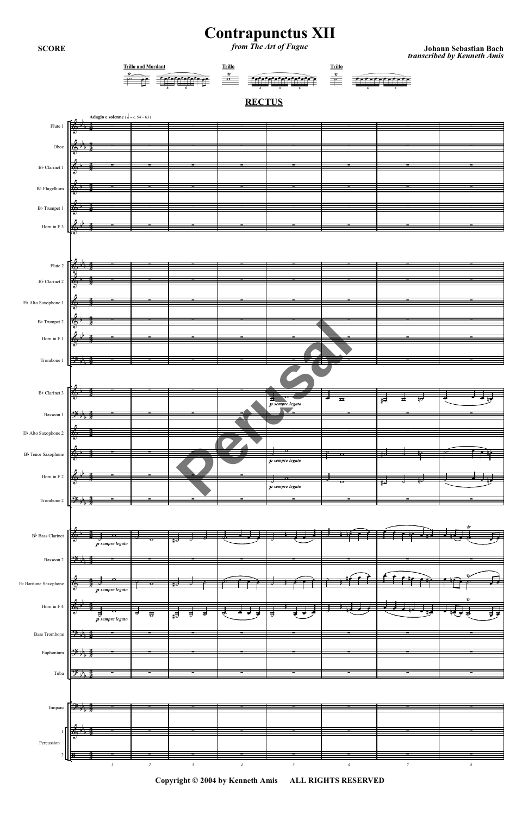## **Contrapunctus XII** from The Art of Fugue

**SCORE** 

Johann Sebastian Bach<br>*transcribed by Kenneth Amis* 



Copyright © 2004 by Kenneth Amis ALL RIGHTS RESERVED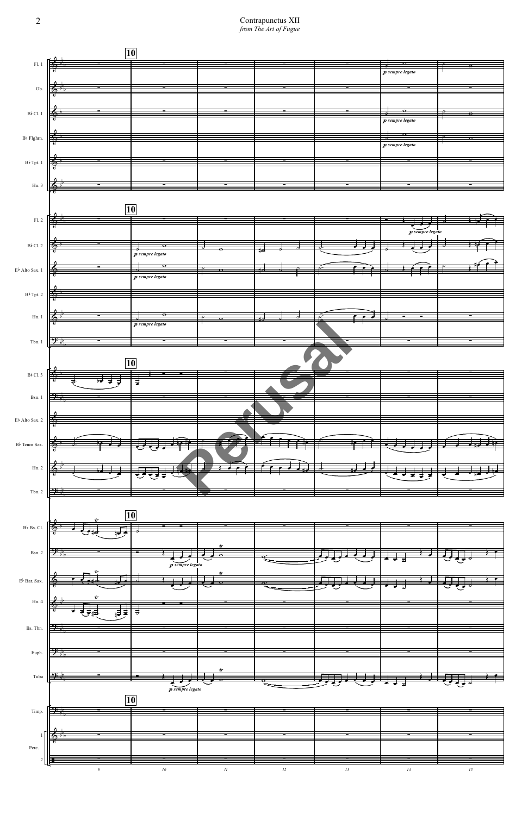$\begin{array}{c} \textbf{Contrapunctus XII}\\ \textit{from The Art of Fugue} \end{array}$ 

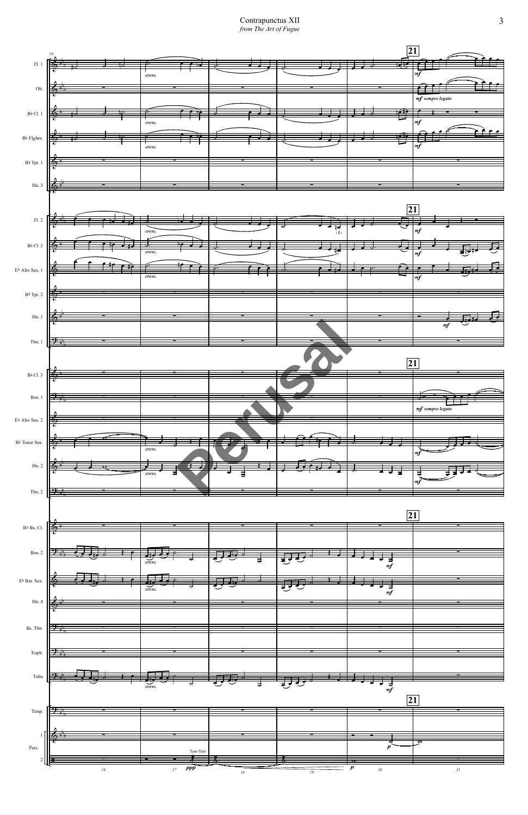Contrapunctus XII from The Art of Fugue